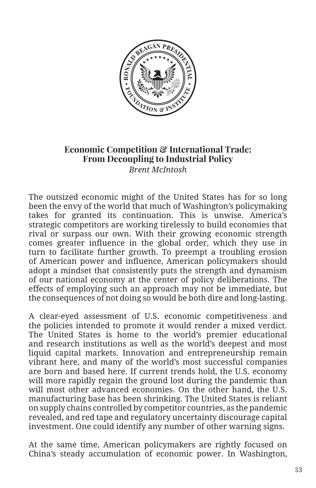

## **Economic Competition & International Trade: From Decoupling to Industrial Policy**  *Brent McIntosh*

The outsized economic might of the United States has for so long been the envy of the world that much of Washington's policymaking takes for granted its continuation. This is unwise. America's strategic competitors are working tirelessly to build economies that rival or surpass our own. With their growing economic strength comes greater influence in the global order, which they use in turn to facilitate further growth. To preempt a troubling erosion of American power and influence, American policymakers should adopt a mindset that consistently puts the strength and dynamism of our national economy at the center of policy deliberations. The effects of employing such an approach may not be immediate, but the consequences of not doing so would be both dire and long-lasting.

A clear-eyed assessment of U.S. economic competitiveness and the policies intended to promote it would render a mixed verdict. The United States is home to the world's premier educational and research institutions as well as the world's deepest and most liquid capital markets. Innovation and entrepreneurship remain vibrant here, and many of the world's most successful companies are born and based here. If current trends hold, the U.S. economy will more rapidly regain the ground lost during the pandemic than will most other advanced economies. On the other hand, the U.S. manufacturing base has been shrinking. The United States is reliant on supply chains controlled by competitor countries, as the pandemic revealed, and red tape and regulatory uncertainty discourage capital investment. One could identify any number of other warning signs.

At the same time, American policymakers are rightly focused on China's steady accumulation of economic power. In Washington,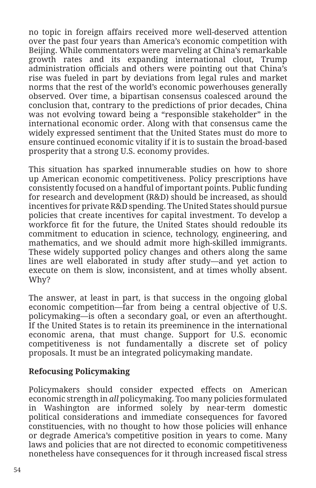no topic in foreign affairs received more well-deserved attention over the past four years than America's economic competition with Beijing. While commentators were marveling at China's remarkable growth rates and its expanding international clout, Trump administration officials and others were pointing out that China's rise was fueled in part by deviations from legal rules and market norms that the rest of the world's economic powerhouses generally observed. Over time, a bipartisan consensus coalesced around the conclusion that, contrary to the predictions of prior decades, China was not evolving toward being a "responsible stakeholder" in the international economic order. Along with that consensus came the widely expressed sentiment that the United States must do more to ensure continued economic vitality if it is to sustain the broad-based prosperity that a strong U.S. economy provides.

This situation has sparked innumerable studies on how to shore up American economic competitiveness. Policy prescriptions have consistently focused on a handful of important points. Public funding for research and development (R&D) should be increased, as should incentives for private R&D spending. The United States should pursue policies that create incentives for capital investment. To develop a workforce fit for the future, the United States should redouble its commitment to education in science, technology, engineering, and mathematics, and we should admit more high-skilled immigrants. These widely supported policy changes and others along the same lines are well elaborated in study after study—and yet action to execute on them is slow, inconsistent, and at times wholly absent. Why?

The answer, at least in part, is that success in the ongoing global economic competition—far from being a central objective of U.S. policymaking—is often a secondary goal, or even an afterthought. If the United States is to retain its preeminence in the international economic arena, that must change. Support for U.S. economic competitiveness is not fundamentally a discrete set of policy proposals. It must be an integrated policymaking mandate.

## **Refocusing Policymaking**

Policymakers should consider expected effects on American economic strength in *all* policymaking. Too many policies formulated in Washington are informed solely by near-term domestic political considerations and immediate consequences for favored constituencies, with no thought to how those policies will enhance or degrade America's competitive position in years to come. Many laws and policies that are not directed to economic competitiveness nonetheless have consequences for it through increased fiscal stress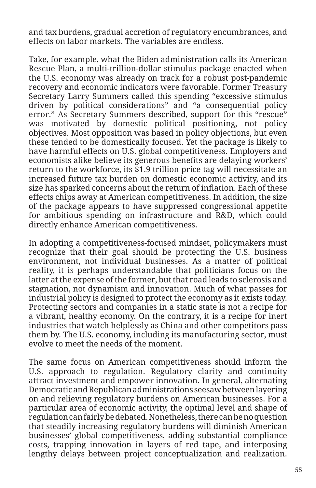and tax burdens, gradual accretion of regulatory encumbrances, and effects on labor markets. The variables are endless.

Take, for example, what the Biden administration calls its American Rescue Plan, a multi-trillion-dollar stimulus package enacted when the U.S. economy was already on track for a robust post-pandemic recovery and economic indicators were favorable. Former Treasury Secretary Larry Summers called this spending "excessive stimulus driven by political considerations" and "a consequential policy error." As Secretary Summers described, support for this "rescue" was motivated by domestic political positioning, not policy objectives. Most opposition was based in policy objections, but even these tended to be domestically focused. Yet the package is likely to have harmful effects on U.S. global competitiveness. Employers and economists alike believe its generous benefits are delaying workers' return to the workforce, its \$1.9 trillion price tag will necessitate an increased future tax burden on domestic economic activity, and its size has sparked concerns about the return of inflation. Each of these effects chips away at American competitiveness. In addition, the size of the package appears to have suppressed congressional appetite for ambitious spending on infrastructure and R&D, which could directly enhance American competitiveness.

In adopting a competitiveness-focused mindset, policymakers must recognize that their goal should be protecting the U.S. business environment, not individual businesses. As a matter of political reality, it is perhaps understandable that politicians focus on the latter at the expense of the former, but that road leads to sclerosis and stagnation, not dynamism and innovation. Much of what passes for industrial policy is designed to protect the economy as it exists today. Protecting sectors and companies in a static state is not a recipe for a vibrant, healthy economy. On the contrary, it is a recipe for inert industries that watch helplessly as China and other competitors pass them by. The U.S. economy, including its manufacturing sector, must evolve to meet the needs of the moment.

The same focus on American competitiveness should inform the U.S. approach to regulation. Regulatory clarity and continuity attract investment and empower innovation. In general, alternating Democratic and Republican administrations seesaw between layering on and relieving regulatory burdens on American businesses. For a particular area of economic activity, the optimal level and shape of regulation can fairly be debated. Nonetheless, there can be no question that steadily increasing regulatory burdens will diminish American businesses' global competitiveness, adding substantial compliance costs, trapping innovation in layers of red tape, and interposing lengthy delays between project conceptualization and realization.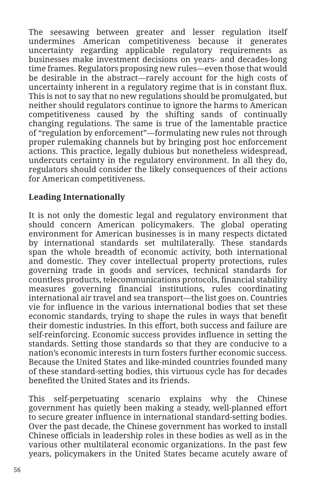The seesawing between greater and lesser regulation itself undermines American competitiveness because it generates uncertainty regarding applicable regulatory requirements as businesses make investment decisions on years- and decades-long time frames. Regulators proposing new rules—even those that would be desirable in the abstract—rarely account for the high costs of uncertainty inherent in a regulatory regime that is in constant flux. This is not to say that no new regulations should be promulgated, but neither should regulators continue to ignore the harms to American competitiveness caused by the shifting sands of continually changing regulations. The same is true of the lamentable practice of "regulation by enforcement"—formulating new rules not through proper rulemaking channels but by bringing post hoc enforcement actions. This practice, legally dubious but nonetheless widespread, undercuts certainty in the regulatory environment. In all they do, regulators should consider the likely consequences of their actions for American competitiveness.

## **Leading Internationally**

It is not only the domestic legal and regulatory environment that should concern American policymakers. The global operating environment for American businesses is in many respects dictated by international standards set multilaterally. These standards span the whole breadth of economic activity, both international and domestic. They cover intellectual property protections, rules governing trade in goods and services, technical standards for countless products, telecommunications protocols, financial stability measures governing financial institutions, rules coordinating international air travel and sea transport—the list goes on. Countries vie for influence in the various international bodies that set these economic standards, trying to shape the rules in ways that benefit their domestic industries. In this effort, both success and failure are self-reinforcing. Economic success provides influence in setting the standards. Setting those standards so that they are conducive to a nation's economic interests in turn fosters further economic success. Because the United States and like-minded countries founded many of these standard-setting bodies, this virtuous cycle has for decades benefited the United States and its friends.

This self-perpetuating scenario explains why the Chinese government has quietly been making a steady, well-planned effort to secure greater influence in international standard-setting bodies. Over the past decade, the Chinese government has worked to install Chinese officials in leadership roles in these bodies as well as in the various other multilateral economic organizations. In the past few years, policymakers in the United States became acutely aware of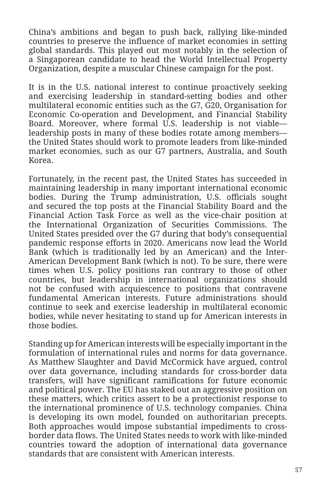China's ambitions and began to push back, rallying like-minded countries to preserve the influence of market economies in setting global standards. This played out most notably in the selection of a Singaporean candidate to head the World Intellectual Property Organization, despite a muscular Chinese campaign for the post.

It is in the U.S. national interest to continue proactively seeking and exercising leadership in standard-setting bodies and other multilateral economic entities such as the G7, G20, Organisation for Economic Co-operation and Development, and Financial Stability Board. Moreover, where formal U.S. leadership is not viable leadership posts in many of these bodies rotate among members the United States should work to promote leaders from like-minded market economies, such as our G7 partners, Australia, and South Korea.

Fortunately, in the recent past, the United States has succeeded in maintaining leadership in many important international economic bodies. During the Trump administration, U.S. officials sought and secured the top posts at the Financial Stability Board and the Financial Action Task Force as well as the vice-chair position at the International Organization of Securities Commissions. The United States presided over the G7 during that body's consequential pandemic response efforts in 2020. Americans now lead the World Bank (which is traditionally led by an American) and the Inter-American Development Bank (which is not). To be sure, there were times when U.S. policy positions ran contrary to those of other countries, but leadership in international organizations should not be confused with acquiescence to positions that contravene fundamental American interests. Future administrations should continue to seek and exercise leadership in multilateral economic bodies, while never hesitating to stand up for American interests in those bodies.

Standing up for American interests will be especially important in the formulation of international rules and norms for data governance. As Matthew Slaughter and David McCormick have argued, control over data governance, including standards for cross-border data transfers, will have significant ramifications for future economic and political power. The EU has staked out an aggressive position on these matters, which critics assert to be a protectionist response to the international prominence of U.S. technology companies. China is developing its own model, founded on authoritarian precepts. Both approaches would impose substantial impediments to crossborder data flows. The United States needs to work with like-minded countries toward the adoption of international data governance standards that are consistent with American interests.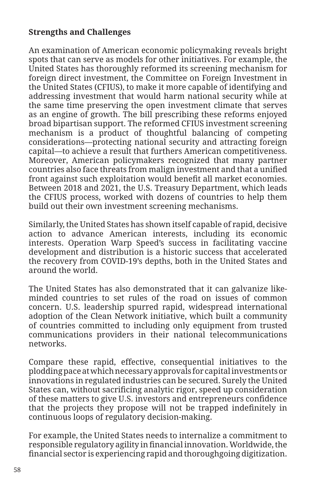## **Strengths and Challenges**

An examination of American economic policymaking reveals bright spots that can serve as models for other initiatives. For example, the United States has thoroughly reformed its screening mechanism for foreign direct investment, the Committee on Foreign Investment in the United States (CFIUS), to make it more capable of identifying and addressing investment that would harm national security while at the same time preserving the open investment climate that serves as an engine of growth. The bill prescribing these reforms enjoyed broad bipartisan support. The reformed CFIUS investment screening mechanism is a product of thoughtful balancing of competing considerations—protecting national security and attracting foreign capital—to achieve a result that furthers American competitiveness. Moreover, American policymakers recognized that many partner countries also face threats from malign investment and that a unified front against such exploitation would benefit all market economies. Between 2018 and 2021, the U.S. Treasury Department, which leads the CFIUS process, worked with dozens of countries to help them build out their own investment screening mechanisms.

Similarly, the United States has shown itself capable of rapid, decisive action to advance American interests, including its economic interests. Operation Warp Speed's success in facilitating vaccine development and distribution is a historic success that accelerated the recovery from COVID-19's depths, both in the United States and around the world.

The United States has also demonstrated that it can galvanize likeminded countries to set rules of the road on issues of common concern. U.S. leadership spurred rapid, widespread international adoption of the Clean Network initiative, which built a community of countries committed to including only equipment from trusted communications providers in their national telecommunications networks.

Compare these rapid, effective, consequential initiatives to the plodding pace at which necessary approvals for capital investments or innovations in regulated industries can be secured. Surely the United States can, without sacrificing analytic rigor, speed up consideration of these matters to give U.S. investors and entrepreneurs confidence that the projects they propose will not be trapped indefinitely in continuous loops of regulatory decision-making.

For example, the United States needs to internalize a commitment to responsible regulatory agility in financial innovation. Worldwide, the financial sector is experiencing rapid and thoroughgoing digitization.